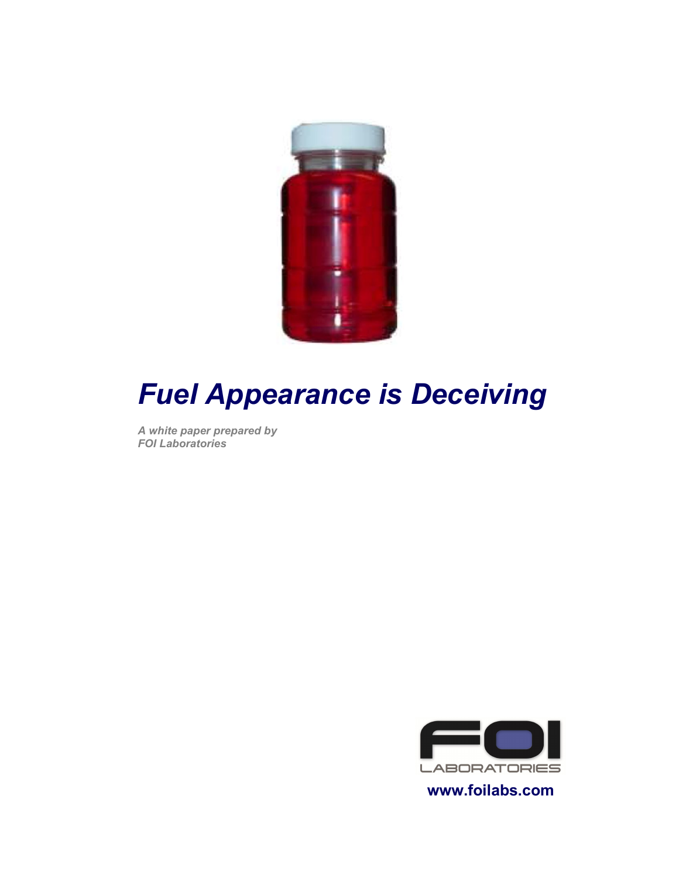

# **Fuel Appearance is Deceiving**

A white paper prepared by **FOI Laboratories** 



www.foilabs.com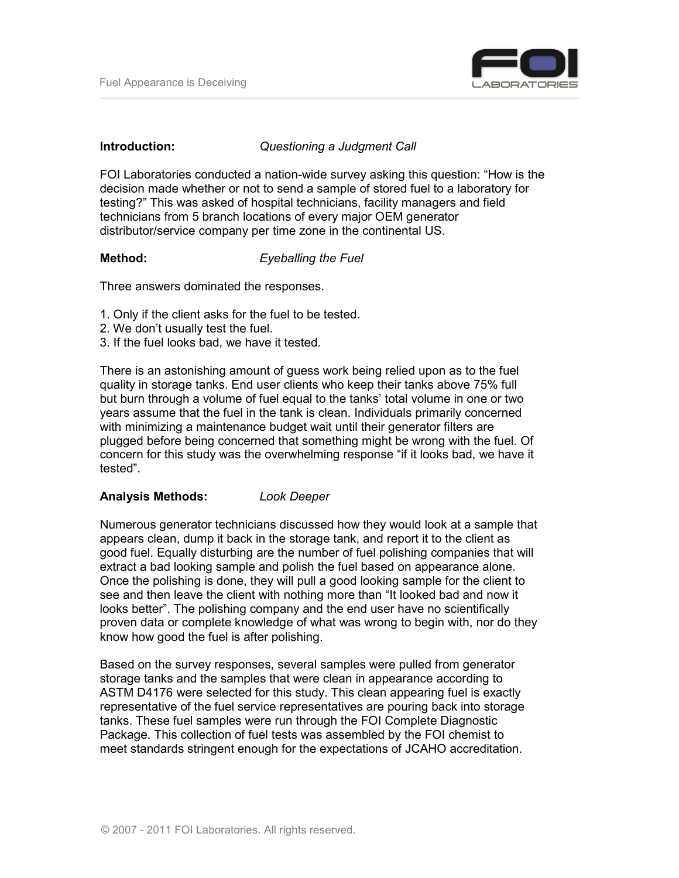

#### Introduction:

Questioning a Judgment Call

FOI Laboratories conducted a nation-wide survey asking this question: "How is the decision made whether or not to send a sample of stored fuel to a laboratory for testing?" This was asked of hospital technicians, facility managers and field technicians from 5 branch locations of every major OEM generator distributor/service company per time zone in the continental US.

#### Method: **Eyeballing the Fuel**

Three answers dominated the responses.

- 1. Only if the client asks for the fuel to be tested.
- 2. We don't usually test the fuel.
- 3. If the fuel looks bad, we have it tested.

There is an astonishing amount of guess work being relied upon as to the fuel quality in storage tanks. End user clients who keep their tanks above 75% full but burn through a volume of fuel equal to the tanks' total volume in one or two years assume that the fuel in the tank is clean. Individuals primarily concerned with minimizing a maintenance budget wait until their generator filters are plugged before being concerned that something might be wrong with the fuel. Of concern for this study was the overwhelming response "if it looks bad, we have it tested".

#### **Analysis Methods: Look Deeper**

Numerous generator technicians discussed how they would look at a sample that appears clean, dump it back in the storage tank, and report it to the client as good fuel. Equally disturbing are the number of fuel polishing companies that will extract a bad looking sample and polish the fuel based on appearance alone. Once the polishing is done, they will pull a good looking sample for the client to see and then leave the client with nothing more than "It looked bad and now it looks better". The polishing company and the end user have no scientifically proven data or complete knowledge of what was wrong to begin with, nor do they know how good the fuel is after polishing.

Based on the survey responses, several samples were pulled from generator storage tanks and the samples that were clean in appearance according to ASTM D4176 were selected for this study. This clean appearing fuel is exactly representative of the fuel service representatives are pouring back into storage tanks. These fuel samples were run through the FOI Complete Diagnostic Package. This collection of fuel tests was assembled by the FOI chemist to meet standards stringent enough for the expectations of JCAHO accreditation.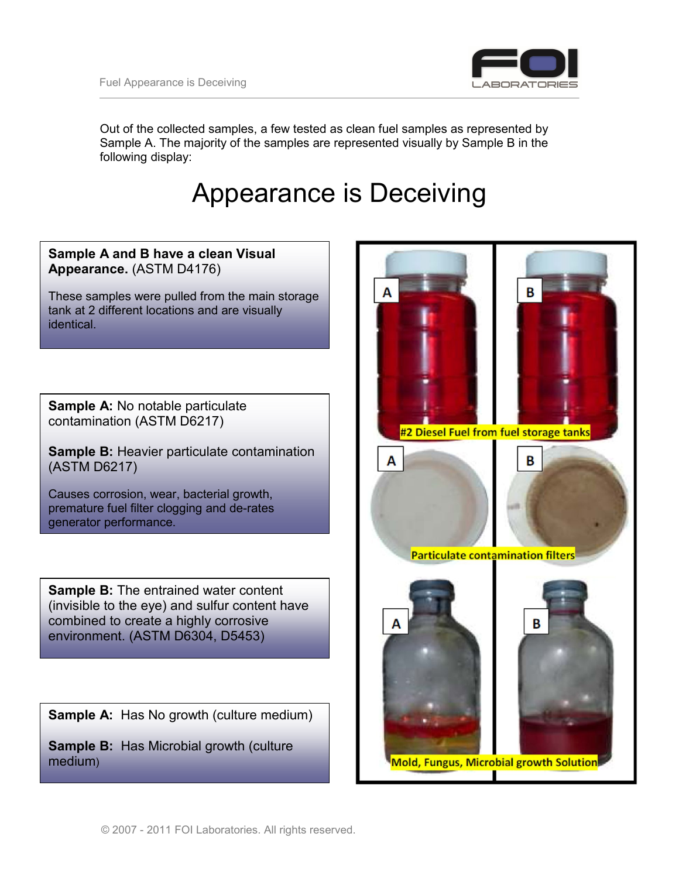

Out of the collected samples, a few tested as clean fuel samples as represented by Sample A. The majority of the samples are represented visually by Sample B in the following display:

## **Appearance is Deceiving**

### Sample A and B have a clean Visual Appearance. (ASTM D4176)

These samples were pulled from the main storage tank at 2 different locations and are visually identical.

**Sample A: No notable particulate** contamination (ASTM D6217)

Sample B: Heavier particulate contamination (ASTM D6217)

Causes corrosion, wear, bacterial growth, premature fuel filter clogging and de-rates generator performance.

**Sample B:** The entrained water content (invisible to the eye) and sulfur content have combined to create a highly corrosive environment. (ASTM D6304, D5453)

**Sample A:** Has No growth (culture medium)

**Sample B:** Has Microbial growth (culture medium)

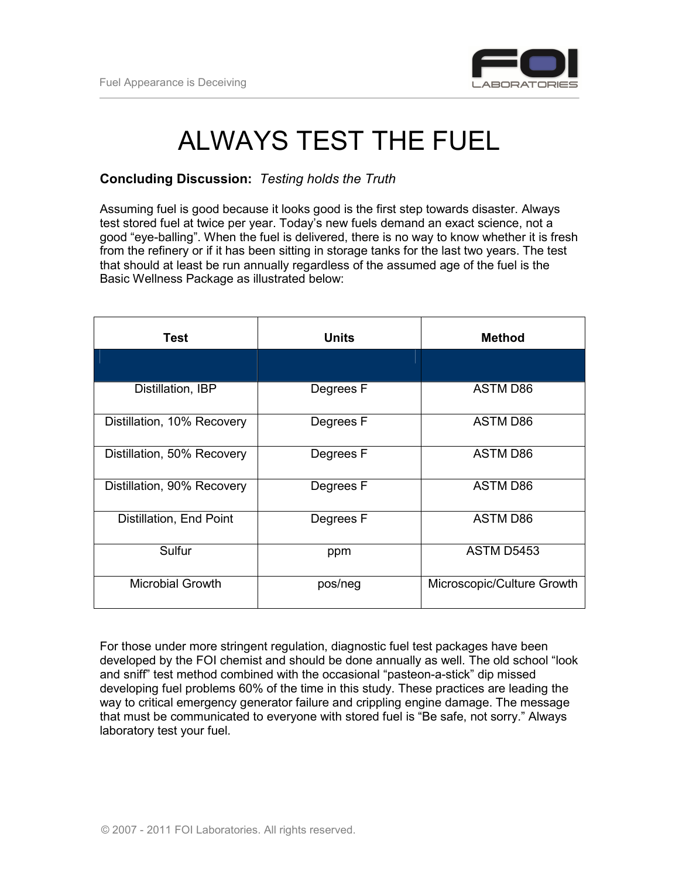

## **ALWAYS TEST THE FUEL**

#### **Concluding Discussion: Testing holds the Truth**

Assuming fuel is good because it looks good is the first step towards disaster. Always test stored fuel at twice per year. Today's new fuels demand an exact science, not a good "eye-balling". When the fuel is delivered, there is no way to know whether it is fresh from the refinery or if it has been sitting in storage tanks for the last two years. The test that should at least be run annually regardless of the assumed age of the fuel is the Basic Wellness Package as illustrated below:

| Test                       | Units     | <b>Method</b>              |
|----------------------------|-----------|----------------------------|
|                            |           |                            |
| Distillation, IBP          | Degrees F | ASTM D86                   |
| Distillation, 10% Recovery | Degrees F | ASTM D86                   |
| Distillation, 50% Recovery | Degrees F | <b>ASTM D86</b>            |
| Distillation, 90% Recovery | Degrees F | <b>ASTM D86</b>            |
| Distillation, End Point    | Degrees F | <b>ASTM D86</b>            |
| Sulfur                     | ppm       | ASTM D5453                 |
| <b>Microbial Growth</b>    | pos/neg   | Microscopic/Culture Growth |

For those under more stringent regulation, diagnostic fuel test packages have been developed by the FOI chemist and should be done annually as well. The old school "look and sniff" test method combined with the occasional "pasteon-a-stick" dip missed developing fuel problems 60% of the time in this study. These practices are leading the way to critical emergency generator failure and crippling engine damage. The message that must be communicated to everyone with stored fuel is "Be safe, not sorry." Always laboratory test your fuel.